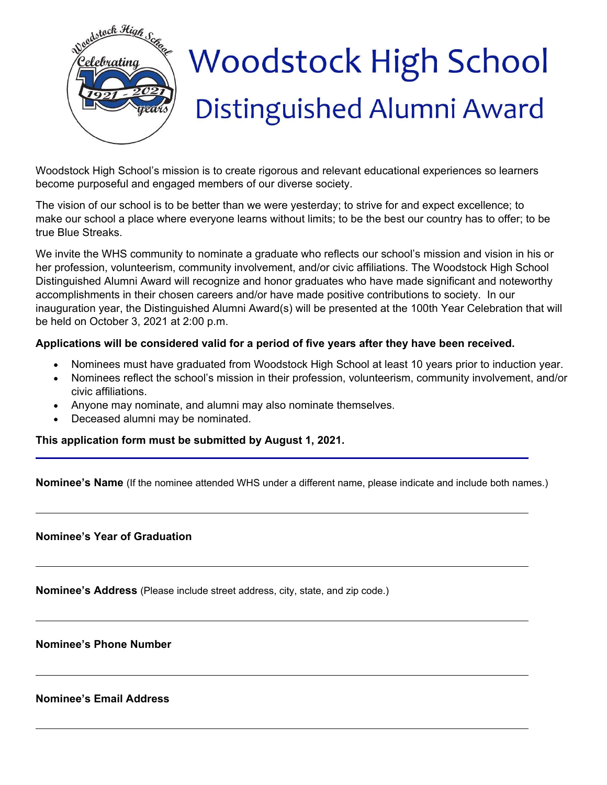

Woodstock High School's mission is to create rigorous and relevant educational experiences so learners become purposeful and engaged members of our diverse society.

The vision of our school is to be better than we were yesterday; to strive for and expect excellence; to make our school a place where everyone learns without limits; to be the best our country has to offer; to be true Blue Streaks.

We invite the WHS community to nominate a graduate who reflects our school's mission and vision in his or her profession, volunteerism, community involvement, and/or civic affiliations. The Woodstock High School Distinguished Alumni Award will recognize and honor graduates who have made significant and noteworthy accomplishments in their chosen careers and/or have made positive contributions to society. In our inauguration year, the Distinguished Alumni Award(s) will be presented at the 100th Year Celebration that will be held on October 3, 2021 at 2:00 p.m.

## **Applications will be considered valid for a period of five years after they have been received.**

- Nominees must have graduated from Woodstock High School at least 10 years prior to induction year.
- Nominees reflect the school's mission in their profession, volunteerism, community involvement, and/or civic affiliations.
- Anyone may nominate, and alumni may also nominate themselves.
- Deceased alumni may be nominated.

**This application form must be submitted by August 1, 2021.** 

**Nominee's Name** (If the nominee attended WHS under a different name, please indicate and include both names.)

**Nominee's Year of Graduation**

**Nominee's Address** (Please include street address, city, state, and zip code.)

**Nominee's Phone Number**

**Nominee's Email Address**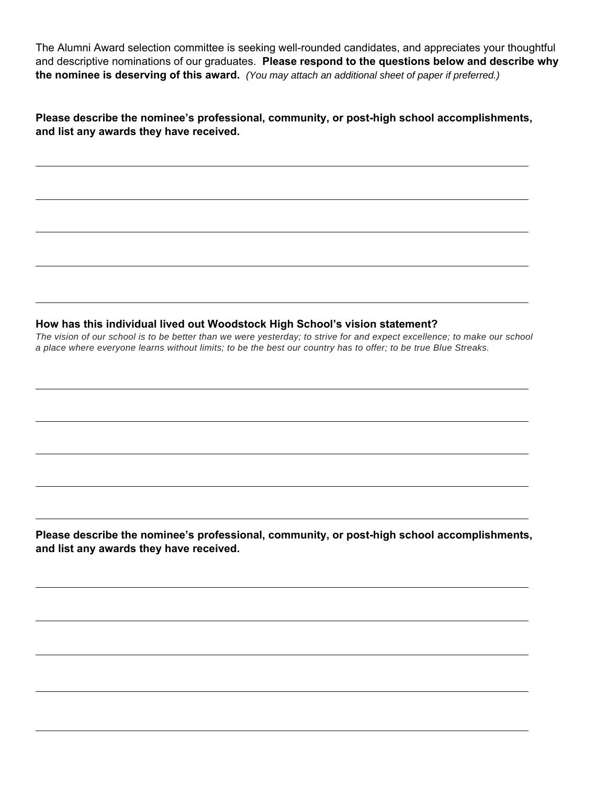The Alumni Award selection committee is seeking well-rounded candidates, and appreciates your thoughtful and descriptive nominations of our graduates. **Please respond to the questions below and describe why the nominee is deserving of this award.** *(You may attach an additional sheet of paper if preferred.)*

**Please describe the nominee's professional, community, or post-high school accomplishments, and list any awards they have received.** 

## **How has this individual lived out Woodstock High School's vision statement?**

*The vision of our school is to be better than we were yesterday; to strive for and expect excellence; to make our school a place where everyone learns without limits; to be the best our country has to offer; to be true Blue Streaks.*

**Please describe the nominee's professional, community, or post-high school accomplishments, and list any awards they have received.**